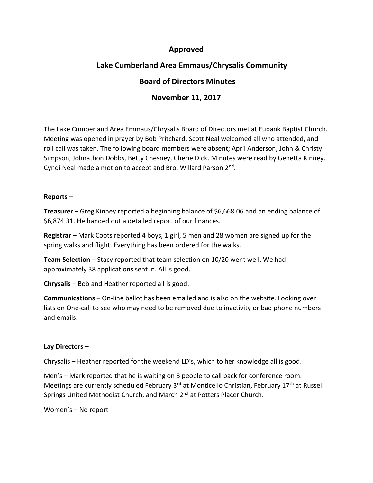## **Approved**

# **Lake Cumberland Area Emmaus/Chrysalis Community**

## **Board of Directors Minutes**

### **November 11, 2017**

The Lake Cumberland Area Emmaus/Chrysalis Board of Directors met at Eubank Baptist Church. Meeting was opened in prayer by Bob Pritchard. Scott Neal welcomed all who attended, and roll call was taken. The following board members were absent; April Anderson, John & Christy Simpson, Johnathon Dobbs, Betty Chesney, Cherie Dick. Minutes were read by Genetta Kinney. Cyndi Neal made a motion to accept and Bro. Willard Parson 2<sup>nd</sup>.

#### **Reports –**

**Treasurer** – Greg Kinney reported a beginning balance of \$6,668.06 and an ending balance of \$6,874.31. He handed out a detailed report of our finances.

**Registrar** – Mark Coots reported 4 boys, 1 girl, 5 men and 28 women are signed up for the spring walks and flight. Everything has been ordered for the walks.

**Team Selection** – Stacy reported that team selection on 10/20 went well. We had approximately 38 applications sent in. All is good.

**Chrysalis** – Bob and Heather reported all is good.

**Communications** – On-line ballot has been emailed and is also on the website. Looking over lists on One-call to see who may need to be removed due to inactivity or bad phone numbers and emails.

#### **Lay Directors –**

Chrysalis – Heather reported for the weekend LD's, which to her knowledge all is good.

Men's – Mark reported that he is waiting on 3 people to call back for conference room. Meetings are currently scheduled February 3<sup>rd</sup> at Monticello Christian, February 17<sup>th</sup> at Russell Springs United Methodist Church, and March 2<sup>nd</sup> at Potters Placer Church.

Women's – No report